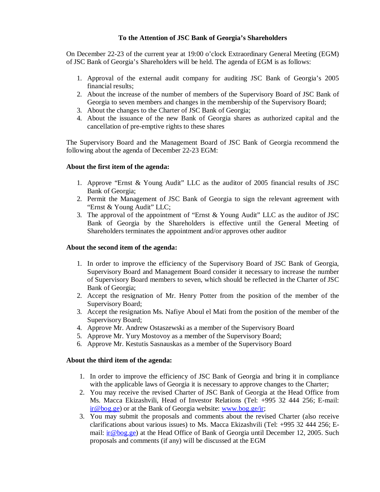# **To the Attention of JSC Bank of Georgia's Shareholders**

On December 22-23 of the current year at 19:00 o'clock Extraordinary General Meeting (EGM) of JSC Bank of Georgia's Shareholders will be held. The agenda of EGM is as follows:

- 1. Approval of the external audit company for auditing JSC Bank of Georgia's 2005 financial results;
- 2. About the increase of the number of members of the Supervisory Board of JSC Bank of Georgia to seven members and changes in the membership of the Supervisory Board;
- 3. About the changes to the Charter of JSC Bank of Georgia;
- 4. About the issuance of the new Bank of Georgia shares as authorized capital and the cancellation of pre-emptive rights to these shares

The Supervisory Board and the Management Board of JSC Bank of Georgia recommend the following about the agenda of December 22-23 EGM:

## **About the first item of the agenda:**

- 1. Approve "Ernst & Young Audit" LLC as the auditor of 2005 financial results of JSC Bank of Georgia;
- 2. Permit the Management of JSC Bank of Georgia to sign the relevant agreement with "Ernst & Young Audit" LLC;
- 3. The approval of the appointment of "Ernst & Young Audit" LLC as the auditor of JSC Bank of Georgia by the Shareholders is effective until the General Meeting of Shareholders terminates the appointment and/or approves other auditor

## **About the second item of the agenda:**

- 1. In order to improve the efficiency of the Supervisory Board of JSC Bank of Georgia, Supervisory Board and Management Board consider it necessary to increase the number of Supervisory Board members to seven, which should be reflected in the Charter of JSC Bank of Georgia;
- 2. Accept the resignation of Mr. Henry Potter from the position of the member of the Supervisory Board;
- 3. Accept the resignation Ms. Nafiye Aboul el Mati from the position of the member of the Supervisory Board;
- 4. Approve Mr. Andrew Ostaszewski as a member of the Supervisory Board
- 5. Approve Mr. Yury Mostovoy as a member of the Supervisory Board;
- 6. Approve Mr. Kestutis Sasnauskas as a member of the Supervisory Board

## **About the third item of the agenda:**

- 1. In order to improve the efficiency of JSC Bank of Georgia and bring it in compliance with the applicable laws of Georgia it is necessary to approve changes to the Charter;
- 2. You may receive the revised Charter of JSC Bank of Georgia at the Head Office from Ms. Macca Ekizashvili, Head of Investor Relations (Tel: +995 32 444 256; E-mail: [ir@bog.ge\)](mailto:ir@bog.ge) or at the Bank of Georgia website: [www.bog.ge/ir](http://www.bog.ge/ir);
- 3. You may submit the proposals and comments about the revised Charter (also receive clarifications about various issues) to Ms. Macca Ekizashvili (Tel: +995 32 444 256; Email:  $\pi \omega$  bog.ge) at the Head Office of Bank of Georgia until December 12, 2005. Such proposals and comments (if any) will be discussed at the EGM